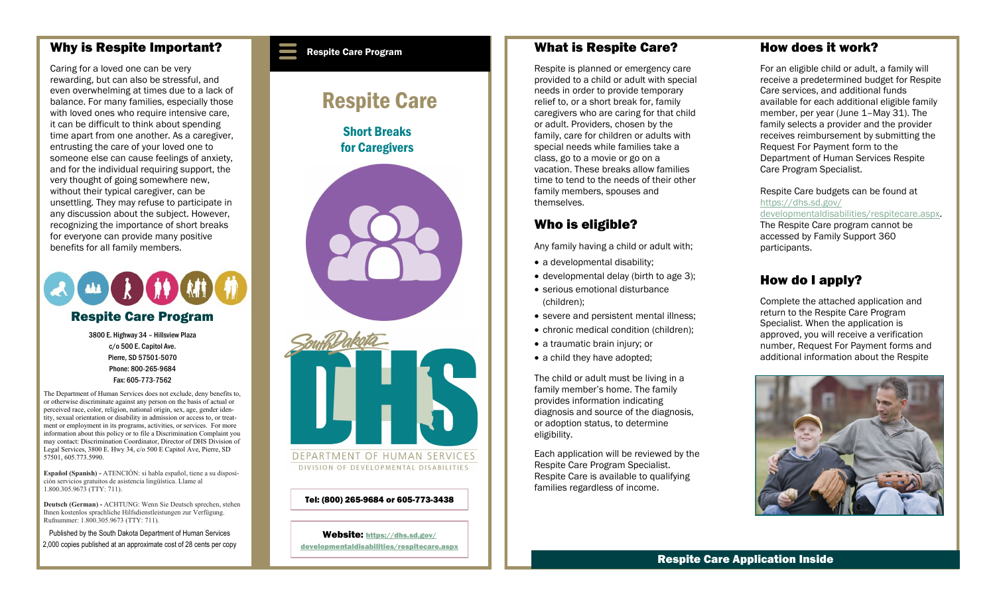#### Why is Respite Important?

Caring for a loved one can be very rewarding, but can also be stressful, and even overwhelming at times due to a lack of balance. For many families, especially those with loved ones who require intensive care. it can be difficult to think about spending time apart from one another. As a caregiver, entrusting the care of your loved one to someone else can cause feelings of anxiety, and for the individual requiring support, the very thought of going somewhere new, without their typical caregiver, can be unsettling. They may refuse to participate in any discussion about the subject. However, recognizing the importance of short breaks for everyone can provide many positive benefits for all family members.



3800 E. Highway 34 – Hillsview Plaza c/o 500 E. Capitol Ave. Pierre, SD 57501-5070 Phone: 800-265-9684 Fax: 605-773-7562

The Department of Human Services does not exclude, deny benefits to, or otherwise discriminate against any person on the basis of actual or perceived race, color, religion, national origin, sex, age, gender identity, sexual orientation or disability in admission or access to, or treatment or employment in its programs, activities, or services. For more information about this policy or to file a Discrimination Complaint you may contact: Discrimination Coordinator, Director of DHS Division of Legal Services, 3800 E. Hwy 34, c/o 500 E Capitol Ave, Pierre, SD 57501, 605.773.5990.

**Español (Spanish) -** ATENCIÓN: si habla español, tiene a su disposición servicios gratuitos de asistencia lingüística. Llame al 1.800.305.9673 (TTY: 711).

**Deutsch (German) -** ACHTUNG: Wenn Sie Deutsch sprechen, stehen Ihnen kostenlos sprachliche Hilfsdienstleistungen zur Verfügung. Rufnummer: 1.800.305.9673 (TTY: 711).

Published by the South Dakota Department of Human Services 2,000 copies published at an approximate cost of 28 cents per copy

#### Respite Care Program

# Respite Care

Short Breaks for Caregivers





Tel: (800) 265-9684 or 605-773-3438

Website: [https://dhs.sd.gov/](https://dhs.sd.gov/developmentaldisabilities/respitecare.aspx) [developmentaldisabilities/respitecare.aspx](https://dhs.sd.gov/developmentaldisabilities/respitecare.aspx)

#### What is Respite Care?

Respite is planned or emergency care provided to a child or adult with special needs in order to provide temporary relief to, or a short break for, family caregivers who are caring for that child or adult. Providers, chosen by the family, care for children or adults with special needs while families take a class, go to a movie or go on a vacation. These breaks allow families time to tend to the needs of their other family members, spouses and themselves.

### Who is eligible?

Any family having a child or adult with;

- a developmental disability;
- developmental delay (birth to age 3);
- serious emotional disturbance (children);
- severe and persistent mental illness:
- chronic medical condition (children);
- a traumatic brain injury; or
- a child they have adopted;

The child or adult must be living in a family member's home. The family provides information indicating diagnosis and source of the diagnosis, or adoption status, to determine eligibility.

Each application will be reviewed by the Respite Care Program Specialist. Respite Care is available to qualifying families regardless of income.

#### How does it work?

For an eligible child or adult, a family will receive a predetermined budget for Respite Care services, and additional funds available for each additional eligible family member, per year (June 1–May 31). The family selects a provider and the provider receives reimbursement by submitting the Request For Payment form to the Department of Human Services Respite Care Program Specialist.

Respite Care budgets can be found at [https://dhs.sd.gov/](https://dhs.sd.gov/developmentaldisabilities/respitecare.aspx) [developmentaldisabilities/respitecare.aspx.](https://dhs.sd.gov/developmentaldisabilities/respitecare.aspx)

The Respite Care program cannot be accessed by Family Support 360 participants.

## How do I apply?

Complete the attached application and return to the Respite Care Program Specialist. When the application is approved, you will receive a verification number, Request For Payment forms and additional information about the Respite



Respite Care Application Inside